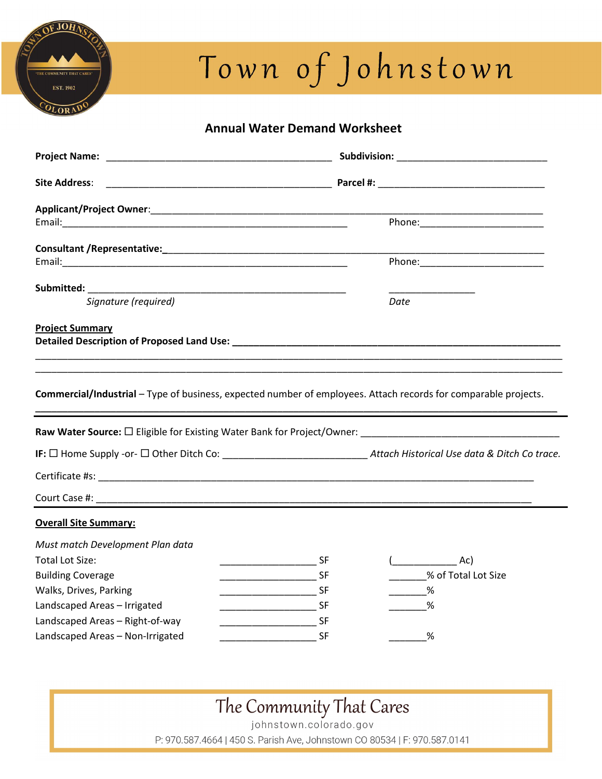## **JOHA MUNITY THAT CARES EST. 1902** OLORAD

# Town of Johnstown

### Annual Water Demand Worksheet

| <b>Site Address:</b>                                                                                                            |                                                      |                     |  |
|---------------------------------------------------------------------------------------------------------------------------------|------------------------------------------------------|---------------------|--|
|                                                                                                                                 |                                                      |                     |  |
|                                                                                                                                 |                                                      |                     |  |
|                                                                                                                                 |                                                      |                     |  |
|                                                                                                                                 |                                                      |                     |  |
| Submitted: <b>Submitted</b> :                                                                                                   | <u> 1989 - Johann Barn, fransk politik (d. 1989)</u> |                     |  |
| Signature (required)                                                                                                            |                                                      | Date                |  |
| <b>Project Summary</b>                                                                                                          |                                                      |                     |  |
| Commercial/Industrial - Type of business, expected number of employees. Attach records for comparable projects.                 |                                                      |                     |  |
|                                                                                                                                 |                                                      |                     |  |
| IF: $\Box$ Home Supply -or- $\Box$ Other Ditch Co: ________________________________Attach Historical Use data & Ditch Co trace. |                                                      |                     |  |
|                                                                                                                                 |                                                      |                     |  |
|                                                                                                                                 |                                                      |                     |  |
| <b>Overall Site Summary:</b>                                                                                                    |                                                      |                     |  |
| Must match Development Plan data                                                                                                |                                                      |                     |  |
| <b>Total Lot Size:</b>                                                                                                          | <b>SF</b>                                            | Ac)                 |  |
| <b>Building Coverage</b>                                                                                                        |                                                      | % of Total Lot Size |  |
| Walks, Drives, Parking                                                                                                          |                                                      | %                   |  |
| Landscaped Areas - Irrigated                                                                                                    |                                                      | %                   |  |
| Landscaped Areas - Right-of-way                                                                                                 |                                                      |                     |  |
| Landscaped Areas - Non-Irrigated                                                                                                |                                                      | %                   |  |

## The Community That Cares

johnstown.colorado.gov P: 970.587.4664 | 450 S. Parish Ave, Johnstown CO 80534 | F: 970.587.0141